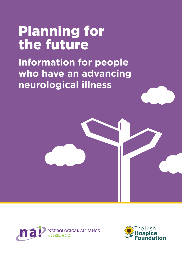# Planning for the future

**Information for people who have an advancing neurological illness**





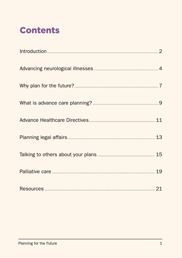### **Contents**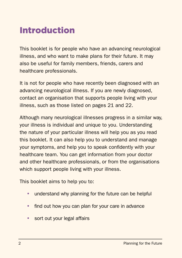### Introduction

This booklet is for people who have an advancing neurological illness, and who want to make plans for their future. It may also be useful for family members, friends, carers and healthcare professionals.

It is not for people who have recently been diagnosed with an advancing neurological illness. If you are newly diagnosed, contact an organisation that supports people living with your illness, such as those listed on pages 21 and 22.

Although many neurological illnesses progress in a similar way, your illness is individual and unique to you. Understanding the nature of your particular illness will help you as you read this booklet. It can also help you to understand and manage your symptoms, and help you to speak confidently with your healthcare team. You can get information from your doctor and other healthcare professionals, or from the organisations which support people living with your illness.

This booklet aims to help you to:

- understand why planning for the future can be helpful
- find out how you can plan for your care in advance
- sort out your legal affairs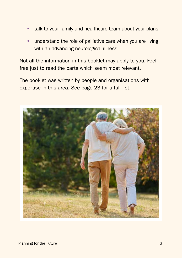- talk to your family and healthcare team about your plans
- understand the role of palliative care when you are living with an advancing neurological illness.

Not all the information in this booklet may apply to you. Feel free just to read the parts which seem most relevant.

The booklet was written by people and organisations with expertise in this area. See page 23 for a full list.

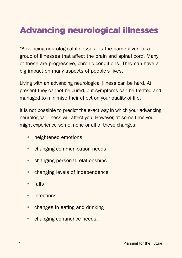### Advancing neurological illnesses

"Advancing neurological illnesses" is the name given to a group of illnesses that affect the brain and spinal cord. Many of these are progressive, chronic conditions. They can have a big impact on many aspects of people's lives.

Living with an advancing neurological illness can be hard. At present they cannot be cured, but symptoms can be treated and managed to minimise their effect on your quality of life.

It is not possible to predict the exact way in which your advancing neurological illness will affect you. However, at some time you might experience some, none or all of these changes:

- heightened emotions
- changing communication needs
- changing personal relationships
- changing levels of independence
- $\cdot$  falls
- infections
- changes in eating and drinking
- changing continence needs.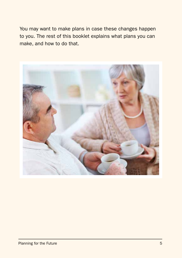You may want to make plans in case these changes happen to you. The rest of this booklet explains what plans you can make, and how to do that.

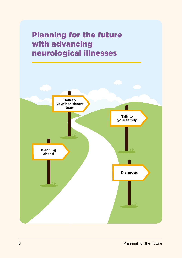

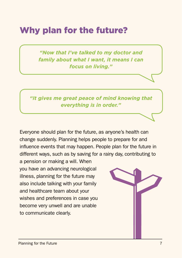### Why plan for the future?

*"Now that I've talked to my doctor and family about what I want, it means I can focus on living."*

*"It gives me great peace of mind knowing that everything is in order."*

Everyone should plan for the future, as anyone's health can change suddenly. Planning helps people to prepare for and influence events that may happen. People plan for the future in different ways, such as by saving for a rainy day, contributing to

a pension or making a will. When you have an advancing neurological illness, planning for the future may also include talking with your family and healthcare team about your wishes and preferences in case you become very unwell and are unable to communicate clearly.

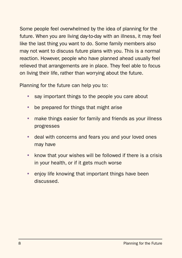Some people feel overwhelmed by the idea of planning for the future. When you are living day-to-day with an illness, it may feel like the last thing you want to do. Some family members also may not want to discuss future plans with you. This is a normal reaction. However, people who have planned ahead usually feel relieved that arrangements are in place. They feel able to focus on living their life, rather than worrying about the future.

Planning for the future can help you to:

- say important things to the people you care about
- $\bullet$  be prepared for things that might arise
- make things easier for family and friends as your illness progresses
- deal with concerns and fears you and your loved ones may have
- $\bullet$  know that your wishes will be followed if there is a crisis in your health, or if it gets much worse
- enjoy life knowing that important things have been discussed.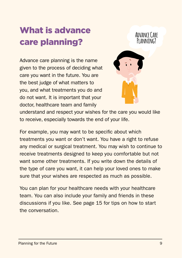## What is advance care planning?

Advance care planning is the name given to the process of deciding what care you want in the future. You are the best judge of what matters to you, and what treatments you do and do not want. It is important that your doctor, healthcare team and family



**Advance Care**

understand and respect your wishes for the care you would like to receive, especially towards the end of your life.

For example, you may want to be specific about which treatments you want or don't want. You have a right to refuse any medical or surgical treatment. You may wish to continue to receive treatments designed to keep you comfortable but not want some other treatments. If you write down the details of the type of care you want, it can help your loved ones to make sure that your wishes are respected as much as possible.

You can plan for your healthcare needs with your healthcare team. You can also include your family and friends in these discussions if you like. See page 15 for tips on how to start the conversation.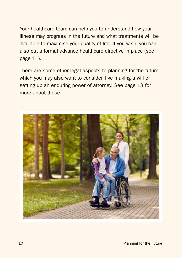Your healthcare team can help you to understand how your illness may progress in the future and what treatments will be available to maximise your quality of life. If you wish, you can also put a formal advance healthcare directive in place (see page 11).

There are some other legal aspects to planning for the future which you may also want to consider, like making a will or setting up an enduring power of attorney. See page 13 for more about these.

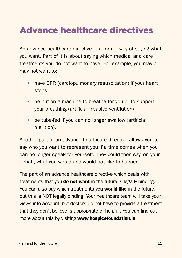### Advance healthcare directives

An advance healthcare directive is a formal way of saying what you want. Part of it is about saying which medical and care treatments you do not want to have. For example, you may or may not want to:

- have CPR (cardiopulmonary resuscitation) if your heart stops
- be put on a machine to breathe for you or to support your breathing (artificial invasive ventilation)
- $\bullet$  be tube-fed if you can no longer swallow (artificial nutrition).

Another part of an advance healthcare directive allows you to say who you want to represent you if a time comes when you can no longer speak for yourself. They could then say, on your behalf, what you would and would not like to happen.

The part of an advance healthcare directive which deals with treatments that you **do not want** in the future is legally binding. You can also say which treatments you would like in the future, but this is NOT legally binding. Your healthcare team will take your views into account, but doctors do not have to provide a treatment that they don't believe is appropriate or helpful. You can find out more about this by visiting www.hospicefoundation.ie.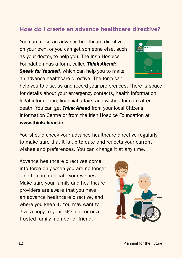#### **How do I create an advance healthcare directive?**

You can make an advance healthcare directive on your own, or you can get someone else, such as your doctor, to help you. The Irish Hospice Foundation has a form, called Think Ahead: Speak for Yourself, which can help you to make.

an advance healthcare directive. The form can



help you to discuss and record your preferences. There is space for details about your emergency contacts, health information, legal information, financial affairs and wishes for care after death. You can get *Think Ahead* from your local Citizens Information Centre or from the Irish Hospice Foundation at www.thinkahead.ie.

You should check your advance healthcare directive regularly to make sure that it is up to date and reflects your current wishes and preferences. You can change it at any time.

Advance healthcare directives come into force only when you are no longer able to communicate your wishes. Make sure your family and healthcare providers are aware that you have an advance healthcare directive, and where you keep it. You may want to give a copy to your GP, solicitor or a trusted family member or friend.

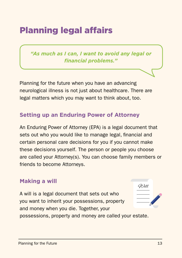### Planning legal affairs

*"As much as I can, I want to avoid any legal or financial problems."*

Planning for the future when you have an advancing neurological illness is not just about healthcare. There are legal matters which you may want to think about, too.

#### **Setting up an Enduring Power of Attorney**

An Enduring Power of Attorney (EPA) is a legal document that sets out who you would like to manage legal, financial and certain personal care decisions for you if you cannot make these decisions yourself. The person or people you choose are called your Attorney(s). You can choose family members or friends to become Attorneys.

#### **Making a will**

A will is a legal document that sets out who you want to inherit your possessions, property and money when you die. Together, your possessions, property and money are called your estate.

Will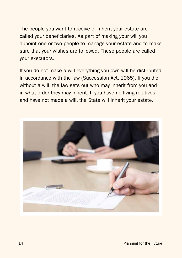The people you want to receive or inherit your estate are called your beneficiaries. As part of making your will you appoint one or two people to manage your estate and to make sure that your wishes are followed. These people are called your executors.

If you do not make a will everything you own will be distributed in accordance with the law (Succession Act, 1965). If you die without a will, the law sets out who may inherit from you and in what order they may inherit. If you have no living relatives, and have not made a will, the State will inherit your estate.

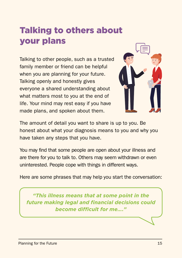### Talking to others about your plans

Talking to other people, such as a trusted family member or friend can be helpful when you are planning for your future. Talking openly and honestly gives everyone a shared understanding about what matters most to you at the end of life. Your mind may rest easy if you have made plans, and spoken about them.



The amount of detail you want to share is up to you. Be honest about what your diagnosis means to you and why you have taken any steps that you have.

You may find that some people are open about your illness and are there for you to talk to. Others may seem withdrawn or even uninterested. People cope with things in different ways.

Here are some phrases that may help you start the conversation:

*"This illness means that at some point in the future making legal and financial decisions could become difficult for me…."*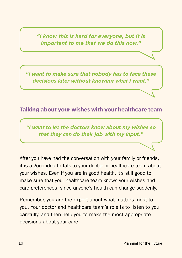*"I know this is hard for everyone, but it is important to me that we do this now."*

*"I want to make sure that nobody has to face these decisions later without knowing what I want."*

#### **Talking about your wishes with your healthcare team**

*"I want to let the doctors know about my wishes so that they can do their job with my input."*

After you have had the conversation with your family or friends, it is a good idea to talk to your doctor or healthcare team about your wishes. Even if you are in good health, it's still good to make sure that your healthcare team knows your wishes and care preferences, since anyone's health can change suddenly.

Remember, you are the expert about what matters most to you. Your doctor and healthcare team's role is to listen to you carefully, and then help you to make the most appropriate decisions about your care.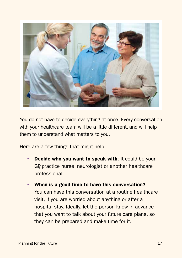

You do not have to decide everything at once. Every conversation with your healthcare team will be a little different, and will help them to understand what matters to you.

Here are a few things that might help:

- Decide who you want to speak with: It could be your GP, practice nurse, neurologist or another healthcare professional.
- When is a good time to have this conversation? You can have this conversation at a routine healthcare visit, if you are worried about anything or after a hospital stay. Ideally, let the person know in advance that you want to talk about your future care plans, so they can be prepared and make time for it.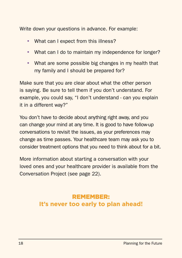Write down your questions in advance. For example:

- What can I expect from this illness?
- What can I do to maintain my independence for longer?
- What are some possible big changes in my health that my family and I should be prepared for?

Make sure that you are clear about what the other person is saying. Be sure to tell them if you don't understand. For example, you could say, "I don't understand - can you explain it in a different way?"

You don't have to decide about anything right away, and you can change your mind at any time. It is good to have follow-up conversations to revisit the issues, as your preferences may change as time passes. Your healthcare team may ask you to consider treatment options that you need to think about for a bit.

More information about starting a conversation with your loved ones and your healthcare provider is available from the Conversation Project (see page 22).

#### REMEMBER: **It's never too early to plan ahead!**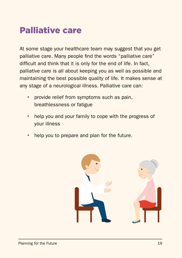### Palliative care

At some stage your healthcare team may suggest that you get palliative care. Many people find the words "palliative care" difficult and think that it is only for the end of life. In fact, palliative care is all about keeping you as well as possible and maintaining the best possible quality of life. It makes sense at any stage of a neurological illness. Palliative care can:

- provide relief from symptoms such as pain, breathlessness or fatigue
- help you and your family to cope with the progress of your illness
- help you to prepare and plan for the future.

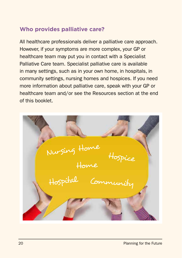#### **Who provides palliative care?**

All healthcare professionals deliver a palliative care approach. However, if your symptoms are more complex, your GP or healthcare team may put you in contact with a Specialist Palliative Care team. Specialist palliative care is available in many settings, such as in your own home, in hospitals, in community settings, nursing homes and hospices. If you need more information about palliative care, speak with your GP or healthcare team and/or see the Resources section at the end of this booklet.

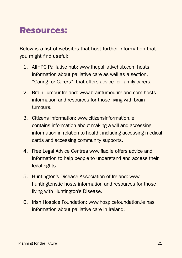### Resources:

Below is a list of websites that host further information that you might find useful:

- 1. AIIHPC Palliative hub: www.thepalliativehub.com hosts information about palliative care as well as a section, "Caring for Carers", that offers advice for family carers.
- 2. Brain Tumour Ireland: www.braintumourireland.com hosts information and resources for those living with brain tumours.
- 3. Citizens Information: www.citizensinformation.ie contains information about making a will and accessing information in relation to health, including accessing medical cards and accessing community supports.
- 4. Free Legal Advice Centres www.flac.ie offers advice and information to help people to understand and access their legal rights.
- 5. Huntington's Disease Association of Ireland: www. huntingtons.ie hosts information and resources for those living with Huntington's Disease.
- 6. Irish Hospice Foundation: www.hospicefoundation.ie has information about palliative care in Ireland.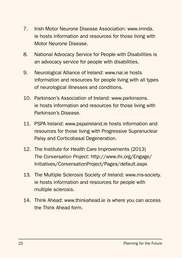- 7. Irish Motor Neurone Disease Association: www.imnda. ie hosts information and resources for those living with Motor Neurone Disease.
- 8. National Advocacy Service for People with Disabilities is an advocacy service for people with disabilities.
- 9. Neurological Alliance of Ireland: www.nai.ie hosts information and resources for people living with all types of neurological illnesses and conditions.
- 10. Parkinson's Association of Ireland: www.parkinsons. ie hosts information and resources for those living with Parkinson's Disease.
- 11. PSPA Ireland: www.pspaireland.ie hosts information and resources for those living with Progressive Supranuclear Palsy and Corticobasal Degeneration.
- 12. The Institute for Health Care Improvements (2013) The Conversation Project: http://www.ihi.org/Engage/ Initiatives/ConversationProject/Pages/default.aspx
- 13. The Multiple Sclerosis Society of Ireland: www.ms-society. ie hosts information and resources for people with multiple sclerosis.
- 14. Think Ahead: www.thinkahead.ie is where you can access the Think Ahead form.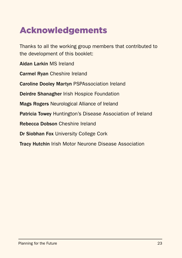### Acknowledgements

Thanks to all the working group members that contributed to the development of this booklet:

Aidan Larkin MS Ireland

Carmel Ryan Cheshire Ireland

Caroline Dooley Martyn PSPAssociation Ireland

Deirdre Shanagher Irish Hospice Foundation

Mags Rogers Neurological Alliance of Ireland

Patricia Towey Huntington's Disease Association of Ireland

Rebecca Dobson Cheshire Ireland

Dr Siobhan Fox University College Cork

Tracy Hutchin Irish Motor Neurone Disease Association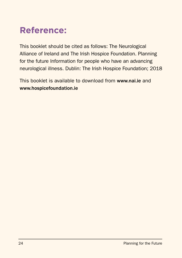### **Reference:**

This booklet should be cited as follows: The Neurological Alliance of Ireland and The Irish Hospice Foundation. Planning for the future Information for people who have an advancing neurological illness. Dublin: The Irish Hospice Foundation; 2018

This booklet is available to download from www.nai.ie and www.hospicefoundation.ie